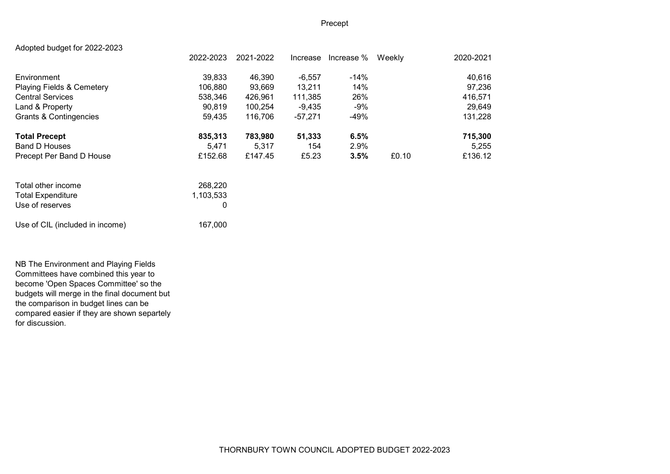# Precept

| Adopted budget for 2022-2023         |           |           |           |            |        |           |
|--------------------------------------|-----------|-----------|-----------|------------|--------|-----------|
|                                      | 2022-2023 | 2021-2022 | Increase  | Increase % | Weekly | 2020-2021 |
| Environment                          | 39,833    | 46,390    | $-6,557$  | $-14%$     |        | 40,616    |
| <b>Playing Fields &amp; Cemetery</b> | 106,880   | 93.669    | 13.211    | 14%        |        | 97,236    |
| <b>Central Services</b>              | 538,346   | 426,961   | 111,385   | 26%        |        | 416,571   |
| Land & Property                      | 90,819    | 100.254   | -9.435    | -9%        |        | 29,649    |
| <b>Grants &amp; Contingencies</b>    | 59,435    | 116,706   | $-57,271$ | -49%       |        | 131,228   |
| <b>Total Precept</b>                 | 835,313   | 783,980   | 51,333    | 6.5%       |        | 715,300   |
| <b>Band D Houses</b>                 | 5.471     | 5,317     | 154       | 2.9%       |        | 5,255     |
| Precept Per Band D House             | £152.68   | £147.45   | £5.23     | 3.5%       | £0.10  | £136.12   |
| Total other income                   | 268,220   |           |           |            |        |           |
| <b>Total Expenditure</b>             | 1,103,533 |           |           |            |        |           |
| Use of reserves                      | 0         |           |           |            |        |           |

Use of CIL (included in income) 167,000

NB The Environment and Playing Fields Committees have combined this year to become 'Open Spaces Committee' so the budgets will merge in the final document but the comparison in budget lines can be compared easier if they are shown separtely for discussion.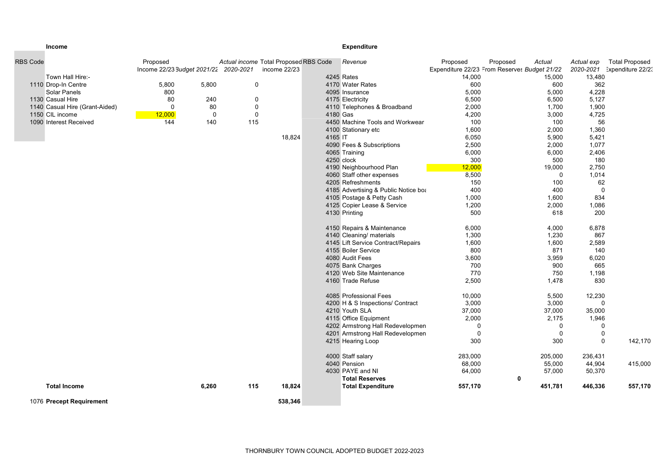## **Income Expenditure Expenditure**

| <b>RBS Code</b>                | Proposed<br>Income 22/23 Budget 2021/22 2020-2021 |             | Actual income Total Proposed RBS Code<br>income 22/23 |         | Revenue                              | Proposed<br>Proposed<br>Expenditure 22/23 From Reserves Budget 21/22 | Actual         | Actual exp  | <b>Total Proposed</b><br>2020-2021 Expenditure 22/23 |
|--------------------------------|---------------------------------------------------|-------------|-------------------------------------------------------|---------|--------------------------------------|----------------------------------------------------------------------|----------------|-------------|------------------------------------------------------|
| Town Hall Hire:-               |                                                   |             |                                                       |         | 4245 Rates                           | 14,000                                                               | 15,000         | 13,480      |                                                      |
| 1110 Drop-In Centre            | 5,800<br>5,800                                    | $\mathbf 0$ |                                                       |         | 4170 Water Rates                     | 600                                                                  | 600            | 362         |                                                      |
| Solar Panels                   | 800                                               |             |                                                       |         | 4095 Insurance                       | 5,000                                                                | 5,000          | 4,228       |                                                      |
| 1130 Casual Hire               | 80<br>240                                         | $\Omega$    |                                                       |         | 4175 Electricity                     | 6,500                                                                | 6,500          | 5,127       |                                                      |
| 1140 Casual Hire (Grant-Aided) | 80<br>$\Omega$                                    | $\mathbf 0$ |                                                       |         | 4110 Telephones & Broadband          | 2,000                                                                | 1,700          | 1,900       |                                                      |
| 1150 CIL income                | $\pmb{0}$<br>12,000                               | $\Omega$    |                                                       |         | 4180 Gas                             | 4,200                                                                | 3,000          | 4,725       |                                                      |
| 1090 Interest Received         | 144<br>140                                        | 115         |                                                       |         | 4450 Machine Tools and Workwear      | 100                                                                  | 100            | 56          |                                                      |
|                                |                                                   |             |                                                       |         | 4100 Stationary etc                  | 1,600                                                                | 2,000          | 1,360       |                                                      |
|                                |                                                   |             | 18,824                                                | 4165 IT |                                      | 6,050                                                                | 5,900          | 5,421       |                                                      |
|                                |                                                   |             |                                                       |         | 4090 Fees & Subscriptions            | 2,500                                                                | 2,000          | 1,077       |                                                      |
|                                |                                                   |             |                                                       |         | 4065 Training                        | 6,000                                                                | 6,000          | 2,406       |                                                      |
|                                |                                                   |             |                                                       |         | 4250 clock                           | 300                                                                  | 500            | 180         |                                                      |
|                                |                                                   |             |                                                       |         | 4190 Neighbourhood Plan              | 12,000                                                               | 19,000         | 2,750       |                                                      |
|                                |                                                   |             |                                                       |         | 4060 Staff other expenses            | 8,500                                                                | $\Omega$       | 1,014       |                                                      |
|                                |                                                   |             |                                                       |         | 4205 Refreshments                    | 150                                                                  | 100            | 62          |                                                      |
|                                |                                                   |             |                                                       |         | 4185 Advertising & Public Notice boa | 400                                                                  | 400            | $\mathbf 0$ |                                                      |
|                                |                                                   |             |                                                       |         | 4105 Postage & Petty Cash            | 1,000                                                                | 1,600          | 834         |                                                      |
|                                |                                                   |             |                                                       |         | 4125 Copier Lease & Service          | 1,200                                                                | 2,000          | 1,086       |                                                      |
|                                |                                                   |             |                                                       |         | 4130 Printing                        | 500                                                                  | 618            | 200         |                                                      |
|                                |                                                   |             |                                                       |         |                                      |                                                                      |                |             |                                                      |
|                                |                                                   |             |                                                       |         | 4150 Repairs & Maintenance           | 6,000                                                                | 4,000          | 6,878       |                                                      |
|                                |                                                   |             |                                                       |         | 4140 Cleaning/ materials             | 1,300                                                                | 1,230          | 867         |                                                      |
|                                |                                                   |             |                                                       |         | 4145 Lift Service Contract/Repairs   | 1,600                                                                | 1,600          | 2,589       |                                                      |
|                                |                                                   |             |                                                       |         | 4155 Boiler Service                  | 800                                                                  | 871            | 140         |                                                      |
|                                |                                                   |             |                                                       |         | 4080 Audit Fees                      | 3,600                                                                | 3,959          | 6,020       |                                                      |
|                                |                                                   |             |                                                       |         | 4075 Bank Charges                    | 700                                                                  | 900            | 665         |                                                      |
|                                |                                                   |             |                                                       |         | 4120 Web Site Maintenance            | 770                                                                  | 750            | 1,198       |                                                      |
|                                |                                                   |             |                                                       |         | 4160 Trade Refuse                    | 2,500                                                                | 1,478          | 830         |                                                      |
|                                |                                                   |             |                                                       |         | 4085 Professional Fees               | 10,000                                                               | 5,500          | 12,230      |                                                      |
|                                |                                                   |             |                                                       |         | 4200 H & S Inspections/ Contract     | 3,000                                                                | 3,000          | $\Omega$    |                                                      |
|                                |                                                   |             |                                                       |         | 4210 Youth SLA                       | 37,000                                                               | 37,000         | 35,000      |                                                      |
|                                |                                                   |             |                                                       |         | 4115 Office Equipment                | 2,000                                                                | 2,175          | 1,946       |                                                      |
|                                |                                                   |             |                                                       |         | 4202 Armstrong Hall Redevelopmen     | $\mathbf 0$                                                          | $\mathbf 0$    | $\mathbf 0$ |                                                      |
|                                |                                                   |             |                                                       |         | 4201 Armstrong Hall Redevelopmen     | $\mathbf 0$                                                          | $\overline{0}$ | 0           |                                                      |
|                                |                                                   |             |                                                       |         | 4215 Hearing Loop                    | 300                                                                  | 300            | $\Omega$    | 142,170                                              |
|                                |                                                   |             |                                                       |         |                                      |                                                                      |                |             |                                                      |
|                                |                                                   |             |                                                       |         | 4000 Staff salary                    | 283,000                                                              | 205,000        | 236,431     |                                                      |
|                                |                                                   |             |                                                       |         | 4040 Pension                         | 68,000                                                               | 55,000         | 44,904      | 415,000                                              |
|                                |                                                   |             |                                                       |         | 4030 PAYE and NI                     | 64,000                                                               | 57,000         | 50,370      |                                                      |
|                                |                                                   |             |                                                       |         | <b>Total Reserves</b>                |                                                                      | 0              |             |                                                      |
| <b>Total Income</b>            | 6,260                                             | 115         | 18,824                                                |         | <b>Total Expenditure</b>             | 557,170                                                              | 451,781        | 446,336     | 557,170                                              |
| 1076 Precept Requirement       |                                                   |             | 538,346                                               |         |                                      |                                                                      |                |             |                                                      |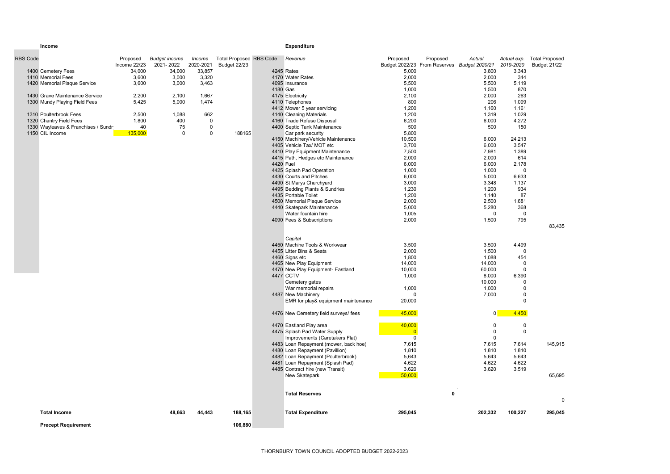### **Income Expenditure** Expenditure

| <b>RBS Code</b> |                                     | Proposed     | <b>Budget income</b> | Income    | <b>Total Proposed RBS Code</b> |          | Revenue                      | Proposed                     | Proposed | Actual                | Actual exp. |
|-----------------|-------------------------------------|--------------|----------------------|-----------|--------------------------------|----------|------------------------------|------------------------------|----------|-----------------------|-------------|
|                 |                                     | Income 22/23 | 2021-2022            | 2020-2021 | Budget 22/23                   |          |                              | Budget 2022/23 From Reserves |          | <b>Budget 2020/21</b> | 2019-2020   |
|                 | 1400 Cemetery Fees                  | 34.000       | 34.000               | 33.857    |                                |          | 4245 Rates                   | 5.000                        |          | 3.800                 | 3.343       |
|                 | 1410 Memorial Fees                  | 3,600        | 3,000                | 3.320     |                                |          | 4170 Water Rates             | 2,000                        |          | 2,000                 | 344         |
|                 | 1420 Memorial Plaque Service        | 3,600        | 3,000                | 3,463     |                                |          | 4095 Insurance               | 5,500                        |          | 5,500                 | 5.119       |
|                 |                                     |              |                      |           |                                | 4180 Gas |                              | 1,000                        |          | 1,500                 | 870         |
|                 | 1430 Grave Maintenance Service      | 2,200        | 2.100                | 1.667     |                                |          | 4175 Electricity             | 2.100                        |          | 2.000                 | 263         |
|                 | 1300 Mundy Playing Field Fees       | 5.425        | 5,000                | 1,474     |                                |          | 4110 Telephones              | 800                          |          | 206                   | 1.099       |
|                 |                                     |              |                      |           |                                |          | 4412 Mower 5 year servicing  | 1,200                        |          | 1.160                 | 1.161       |
|                 | 1310 Poulterbrook Fees              | 2.500        | 1.088                | 662       |                                |          | 4140 Cleaning Materials      | 1,200                        |          | 1.319                 | 1,029       |
|                 | 1320 Chantry Field Fees             | 1.800        | 400                  |           |                                |          | 4160 Trade Refuse Disposal   | 6.200                        |          | 6.000                 | 4.272       |
|                 | 1330 Wayleaves & Franchises / Sundr | 40           | 75                   |           |                                |          | 4400 Septic Tank Maintenance | 500                          |          | 500                   | 150         |
|                 | 1150 CIL Income                     | 135,000      |                      |           | 188165                         |          | Car park security            | 5.800                        |          |                       |             |
|                 |                                     |              |                      |           |                                |          |                              |                              |          |                       |             |

| RBS Code |                                     | Proposed               | <b>Budget income</b> | Income              | <b>Total Proposed RBS Code</b> |          | Revenue                               | Proposed       | Proposed                                    | Actual         | Actual exp.        | <b>Total Proposed</b> |
|----------|-------------------------------------|------------------------|----------------------|---------------------|--------------------------------|----------|---------------------------------------|----------------|---------------------------------------------|----------------|--------------------|-----------------------|
|          | 1400 Cemetery Fees                  | Income 22/23<br>34,000 | 2021-2022<br>34,000  | 2020-2021<br>33,857 | Budget 22/23                   |          | 4245 Rates                            | 5,000          | Budget 2022/23 From Reserves Budget 2020/21 | 3,800          | 2019-2020<br>3,343 | Budget 21/22          |
|          | 1410 Memorial Fees                  | 3,600                  | 3,000                | 3,320               |                                |          | 4170 Water Rates                      | 2,000          |                                             | 2,000          | 344                |                       |
|          | 1420 Memorial Plaque Service        | 3,600                  | 3,000                | 3,463               |                                |          | 4095 Insurance                        | 5,500          |                                             | 5,500          | 5,119              |                       |
|          |                                     |                        |                      |                     |                                | 4180 Gas |                                       | 1.000          |                                             | 1.500          | 870                |                       |
|          | 1430 Grave Maintenance Service      | 2,200                  | 2,100                | 1,667               |                                |          | 4175 Electricity                      | 2,100          |                                             | 2,000          | 263                |                       |
|          | 1300 Mundy Playing Field Fees       | 5,425                  | 5,000                | 1,474               |                                |          | 4110 Telephones                       | 800            |                                             | 206            | 1,099              |                       |
|          |                                     |                        |                      |                     |                                |          | 4412 Mower 5 year servicing           | 1,200          |                                             | 1,160          | 1,161              |                       |
|          | 1310 Poulterbrook Fees              | 2,500                  | 1,088                | 662                 |                                |          | 4140 Cleaning Materials               | 1,200          |                                             | 1,319          | 1,029              |                       |
|          | 1320 Chantry Field Fees             | 1,800                  | 400                  | 0                   |                                |          | 4160 Trade Refuse Disposal            | 6,200          |                                             | 6,000          | 4,272              |                       |
|          | 1330 Wayleaves & Franchises / Sundr | 40                     | 75                   | 0                   |                                |          | 4400 Septic Tank Maintenance          | 500            |                                             | 500            | 150                |                       |
|          | 1150 CIL Income                     | 135,000                | $\mathbf 0$          | 0                   | 188165                         |          | Car park security                     | 5,800          |                                             |                |                    |                       |
|          |                                     |                        |                      |                     |                                |          | 4150 Machinery/Vehicle Maintenance    | 10,500         |                                             | 6,000          | 24,213             |                       |
|          |                                     |                        |                      |                     |                                |          | 4405 Vehicle Tax/ MOT etc             | 3,700          |                                             | 6,000          | 3,547              |                       |
|          |                                     |                        |                      |                     |                                |          | 4410 Play Equipment Maintenance       | 7,500          |                                             | 7,981          | 1,389              |                       |
|          |                                     |                        |                      |                     |                                |          | 4415 Path, Hedges etc Maintenance     | 2,000          |                                             | 2,000          | 614                |                       |
|          |                                     |                        |                      |                     |                                |          | 4420 Fuel                             | 6,000          |                                             | 6,000          | 2,178              |                       |
|          |                                     |                        |                      |                     |                                |          | 4425 Splash Pad Operation             | 1,000          |                                             | 1,000          | $\mathbf 0$        |                       |
|          |                                     |                        |                      |                     |                                |          | 4430 Courts and Pitches               | 6,000          |                                             | 5,000          | 6,633              |                       |
|          |                                     |                        |                      |                     |                                |          | 4490 St Marys Churchyard              | 3,000          |                                             | 3,348          | 1,137              |                       |
|          |                                     |                        |                      |                     |                                |          | 4495 Bedding Plants & Sundries        | 1,230          |                                             | 1,200          | 934                |                       |
|          |                                     |                        |                      |                     |                                |          | 4435 Portable Toilet                  | 1,200          |                                             | 1,140          | 87                 |                       |
|          |                                     |                        |                      |                     |                                |          | 4500 Memorial Plaque Service          | 2,000          |                                             | 2,500          | 1,681              |                       |
|          |                                     |                        |                      |                     |                                |          | 4440 Skatepark Maintenance            | 5,000          |                                             | 5,280          | 368                |                       |
|          |                                     |                        |                      |                     |                                |          | Water fountain hire                   | 1,005          |                                             | $\mathbf 0$    | $\mathbf 0$        |                       |
|          |                                     |                        |                      |                     |                                |          | 4090 Fees & Subscriptions             | 2,000          |                                             | 1,500          | 795                |                       |
|          |                                     |                        |                      |                     |                                |          |                                       |                |                                             |                |                    | 83,435                |
|          |                                     |                        |                      |                     |                                |          |                                       |                |                                             |                |                    |                       |
|          |                                     |                        |                      |                     |                                |          | Capital                               |                |                                             |                |                    |                       |
|          |                                     |                        |                      |                     |                                |          | 4450 Machine Tools & Workwear         | 3,500          |                                             | 3,500          | 4,499              |                       |
|          |                                     |                        |                      |                     |                                |          | 4455 Litter Bins & Seats              | 2,000          |                                             | 1,500          | $\mathbf 0$        |                       |
|          |                                     |                        |                      |                     |                                |          | 4460 Signs etc                        | 1,800          |                                             | 1,088          | 454                |                       |
|          |                                     |                        |                      |                     |                                |          | 4465 New Play Equipment               | 14,000         |                                             | 14,000         | 0                  |                       |
|          |                                     |                        |                      |                     |                                |          | 4470 New Play Equipment- Eastland     | 10,000         |                                             | 60,000         | $\mathbf 0$        |                       |
|          |                                     |                        |                      |                     |                                |          | 4477 CCTV                             | 1,000          |                                             | 8,000          | 6,390              |                       |
|          |                                     |                        |                      |                     |                                |          | Cemetery gates                        |                |                                             | 10,000         | $\mathbf 0$        |                       |
|          |                                     |                        |                      |                     |                                |          | War memorial repairs                  | 1,000          |                                             | 1,000          | $\pmb{0}$          |                       |
|          |                                     |                        |                      |                     |                                |          | 4487 New Machinery                    | $\Omega$       |                                             | 7,000          | $\pmb{0}$          |                       |
|          |                                     |                        |                      |                     |                                |          | EMR for play& equipment maintenance   | 20,000         |                                             |                | $\mathbf 0$        |                       |
|          |                                     |                        |                      |                     |                                |          | 4476 New Cemetery field surveys/ fees | 45,000         |                                             | $\overline{0}$ | 4,450              |                       |
|          |                                     |                        |                      |                     |                                |          | 4470 Eastland Play area               | 40,000         |                                             | $\Omega$       | $\mathbf 0$        |                       |
|          |                                     |                        |                      |                     |                                |          | 4475 Splash Pad Water Supply          | $\overline{0}$ |                                             | $\mathbf 0$    | $\pmb{0}$          |                       |
|          |                                     |                        |                      |                     |                                |          | Improvements (Caretakers Flat)        | $\overline{0}$ |                                             | 0              |                    |                       |
|          |                                     |                        |                      |                     |                                |          | 4483 Loan Repayment (mower, back hoe) | 7,615          |                                             | 7,615          | 7,614              | 145,915               |
|          |                                     |                        |                      |                     |                                |          | 4480 Loan Repayment (Pavillion)       | 1,810          |                                             | 1,810          | 1,810              |                       |
|          |                                     |                        |                      |                     |                                |          | 4482 Loan Repayment (Poulterbrook)    | 5,643          |                                             | 5,643          | 5,643              |                       |
|          |                                     |                        |                      |                     |                                |          | 4481 Loan Repayment (Splash Pad)      | 4,622          |                                             | 4,622          | 4,622              |                       |
|          |                                     |                        |                      |                     |                                |          | 4485 Contract hire (new Transit)      | 3,620          |                                             | 3,620          | 3,519              |                       |
|          |                                     |                        |                      |                     |                                |          | New Skatepark                         | 50,000         |                                             |                |                    | 65,695                |
|          |                                     |                        |                      |                     |                                |          |                                       |                |                                             |                |                    |                       |
|          |                                     |                        |                      |                     |                                |          | <b>Total Reserves</b>                 |                | 0                                           |                |                    |                       |
|          |                                     |                        |                      |                     |                                |          |                                       |                |                                             |                |                    | $\Omega$              |
|          | <b>Total Income</b>                 |                        | 48,663               | 44,443              | 188,165                        |          | <b>Total Expenditure</b>              | 295,045        |                                             | 202,332        | 100,227            | 295,045               |
|          | <b>Precept Requirement</b>          |                        |                      |                     | 106.880                        |          |                                       |                |                                             |                |                    |                       |

Precept Requirement 106,880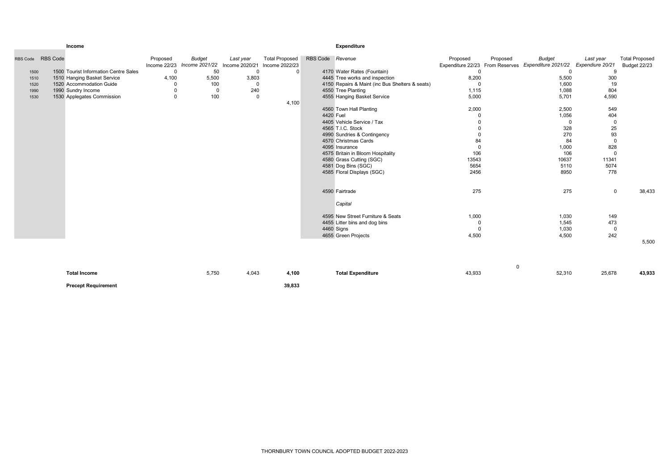|      | RBS Code RBS Code                     | Proposed    | <b>Budget</b><br>Income 22/23 Income 2021/22 Income 2020/21 | Last year      | <b>Total Proposed</b><br>Income 2022/23 | RBS Code Revenue |                                                 | Proposed       | Proposed    | <b>Budget</b><br>Expenditure 22/23 From Reserves Expenditure 2021/22 | Last year<br>Expendiure 20/21 | <b>Total Proposed</b><br>Budget 22/23 |
|------|---------------------------------------|-------------|-------------------------------------------------------------|----------------|-----------------------------------------|------------------|-------------------------------------------------|----------------|-------------|----------------------------------------------------------------------|-------------------------------|---------------------------------------|
| 1500 | 1500 Tourist Information Centre Sales | $\Omega$    | 50                                                          | $\mathbf 0$    | $\mathbf 0$                             |                  | 4170 Water Rates (Fountain)                     | 0              |             | $\Omega$                                                             | 9                             |                                       |
| 1510 | 1510 Hanging Basket Service           | 4,100       | 5,500                                                       | 3,803          |                                         |                  | 4445 Tree works and inspection                  | 8,200          |             | 5,500                                                                | 300                           |                                       |
| 1520 | 1520 Accommodation Guide              |             | 100                                                         | 0              |                                         |                  | 4150 Repairs & Maint (inc Bus Shelters & seats) | $\Omega$       |             | 1,600                                                                | 19                            |                                       |
| 1990 | 1990 Sundry Income                    | $\mathbf 0$ | $\mathbf 0$                                                 | 240            |                                         |                  | 4550 Tree Planting                              | 1,115          |             | 1,088                                                                | 804                           |                                       |
| 1530 | 1530 Applegates Commission            | $\mathbf 0$ | 100                                                         | $\overline{0}$ |                                         |                  | 4555 Hanging Basket Service                     | 5,000          |             | 5,701                                                                | 4,590                         |                                       |
|      |                                       |             |                                                             |                | 4,100                                   |                  |                                                 |                |             |                                                                      |                               |                                       |
|      |                                       |             |                                                             |                |                                         |                  | 4560 Town Hall Planting                         | 2,000          |             | 2,500                                                                | 549                           |                                       |
|      |                                       |             |                                                             |                |                                         |                  | 4420 Fuel                                       |                |             | 1,056                                                                | 404                           |                                       |
|      |                                       |             |                                                             |                |                                         |                  | 4405 Vehicle Service / Tax                      |                |             | $\Omega$                                                             | $\Omega$                      |                                       |
|      |                                       |             |                                                             |                |                                         |                  | 4565 T.I.C. Stock                               |                |             | 328                                                                  | 25                            |                                       |
|      |                                       |             |                                                             |                |                                         |                  | 4990 Sundries & Contingency                     | $\Omega$       |             | 270                                                                  | 93                            |                                       |
|      |                                       |             |                                                             |                |                                         |                  | 4570 Christmas Cards                            | 84             |             | 84                                                                   | $\Omega$                      |                                       |
|      |                                       |             |                                                             |                |                                         |                  | 4095 Insurance                                  | $\overline{0}$ |             | 1,000                                                                | 828                           |                                       |
|      |                                       |             |                                                             |                |                                         |                  | 4575 Britain in Bloom Hospitality               | 106            |             | 106                                                                  | $\Omega$                      |                                       |
|      |                                       |             |                                                             |                |                                         |                  | 4580 Grass Cutting (SGC)                        | 13543          |             | 10637                                                                | 11341                         |                                       |
|      |                                       |             |                                                             |                |                                         |                  | 4581 Dog Bins (SGC)                             | 5654           |             | 5110                                                                 | 5074                          |                                       |
|      |                                       |             |                                                             |                |                                         |                  | 4585 Floral Displays (SGC)                      | 2456           |             | 8950                                                                 | 778                           |                                       |
|      |                                       |             |                                                             |                |                                         |                  | 4590 Fairtrade                                  | 275            |             | 275                                                                  | $\mathbf 0$                   | 38,433                                |
|      |                                       |             |                                                             |                |                                         |                  | Capital                                         |                |             |                                                                      |                               |                                       |
|      |                                       |             |                                                             |                |                                         |                  | 4595 New Street Furniture & Seats               | 1,000          |             | 1,030                                                                | 149                           |                                       |
|      |                                       |             |                                                             |                |                                         |                  | 4455 Litter bins and dog bins                   | $\mathbf 0$    |             | 1,545                                                                | 473                           |                                       |
|      |                                       |             |                                                             |                |                                         |                  | 4460 Signs                                      | $\mathbf 0$    |             | 1,030                                                                | $\Omega$                      |                                       |
|      |                                       |             |                                                             |                |                                         |                  | 4655 Green Projects                             | 4,500          |             | 4,500                                                                | 242                           |                                       |
|      |                                       |             |                                                             |                |                                         |                  |                                                 |                |             |                                                                      |                               | 5,500                                 |
|      |                                       |             |                                                             |                |                                         |                  |                                                 |                | $\mathbf 0$ |                                                                      |                               |                                       |
|      | <b>Total Income</b>                   |             | 5,750                                                       | 4,043          | 4,100                                   |                  | <b>Total Expenditure</b>                        | 43,933         |             | 52,310                                                               | 25,678                        | 43,933                                |

THORNBURY TOWN COUNCIL ADOPTED BUDGET 2022-2023

### Income Expenditure

Precept Requirement 39,833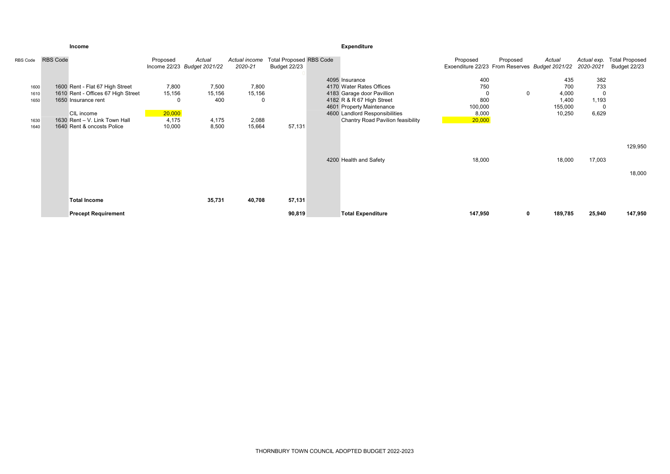|                              |                 | Income                                                                                                                                      |                                                |                                       |                                      |                                                | Expenditure                                                                                                                                                                                               |                                                            |          |                                                   |                              |                                              |
|------------------------------|-----------------|---------------------------------------------------------------------------------------------------------------------------------------------|------------------------------------------------|---------------------------------------|--------------------------------------|------------------------------------------------|-----------------------------------------------------------------------------------------------------------------------------------------------------------------------------------------------------------|------------------------------------------------------------|----------|---------------------------------------------------|------------------------------|----------------------------------------------|
| RBS Code                     | <b>RBS Code</b> |                                                                                                                                             | Proposed                                       | Actual<br>Income 22/23 Budget 2021/22 | Actual income<br>2020-21             | <b>Total Proposed RBS Code</b><br>Budget 22/23 |                                                                                                                                                                                                           | Proposed<br>Exoenditure 22/23 From Reserves Budget 2021/22 | Proposed | Actual                                            | Actual exp.<br>2020-2021     | <b>Total Proposed</b><br><b>Budget 22/23</b> |
| 1600<br>1610<br>1650<br>1630 |                 | 1600 Rent - Flat 67 High Street<br>1610 Rent - Offices 67 High Street<br>1650 Insurance rent<br>CIL income<br>1630 Rent - V. Link Town Hall | 7,800<br>15,156<br>$\Omega$<br>20,000<br>4,175 | 7,500<br>15,156<br>400<br>4,175       | 7,800<br>15,156<br>$\Omega$<br>2,088 |                                                | 4095 Insurance<br>4170 Water Rates Offices<br>4183 Garage door Pavillion<br>4182 R & R 67 High Street<br>4601 Property Maintenance<br>4600 Landlord Responsibilities<br>Chantry Road Pavilion feasibility | 400<br>750<br>800<br>100,000<br>8,000<br>20,000            | 0        | 435<br>700<br>4,000<br>1,400<br>155,000<br>10,250 | 382<br>733<br>1,193<br>6,629 |                                              |
| 1640                         |                 | 1640 Rent & oncosts Police                                                                                                                  | 10,000                                         | 8,500                                 | 15,664                               | 57,131                                         |                                                                                                                                                                                                           |                                                            |          |                                                   |                              | 129,950                                      |
|                              |                 |                                                                                                                                             |                                                |                                       |                                      |                                                | 4200 Health and Safety                                                                                                                                                                                    | 18,000                                                     |          | 18,000                                            | 17,003                       | 18,000                                       |
|                              |                 | <b>Total Income</b>                                                                                                                         |                                                | 35,731                                | 40,708                               | 57,131                                         |                                                                                                                                                                                                           |                                                            |          |                                                   |                              |                                              |
|                              |                 | <b>Precept Requirement</b>                                                                                                                  |                                                |                                       |                                      | 90,819                                         | <b>Total Expenditure</b>                                                                                                                                                                                  | 147,950                                                    | 0        | 189,785                                           | 25,940                       | 147,950                                      |